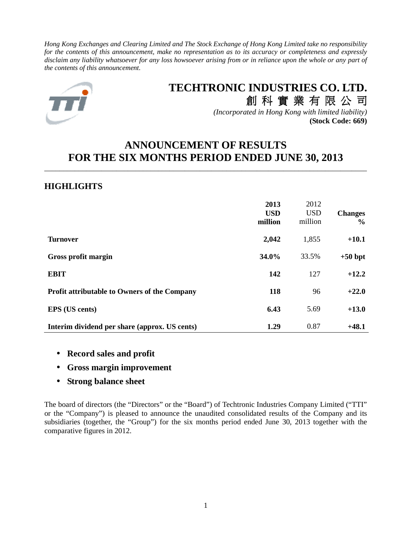*Hong Kong Exchanges and Clearing Limited and The Stock Exchange of Hong Kong Limited take no responsibility for the contents of this announcement, make no representation as to its accuracy or completeness and expressly disclaim any liability whatsoever for any loss howsoever arising from or in reliance upon the whole or any part of the contents of this announcement.* 



# **TECHTRONIC INDUSTRIES CO. LTD.** 創 科 實 業 有 限 公 司

*(Incorporated in Hong Kong with limited liability)* **(Stock Code: 669)**

# **ANNOUNCEMENT OF RESULTS FOR THE SIX MONTHS PERIOD ENDED JUNE 30, 2013**

\_\_\_\_\_\_\_\_\_\_\_\_\_\_\_\_\_\_\_\_\_\_\_\_\_\_\_\_\_\_\_\_\_\_\_\_\_\_\_\_\_\_\_\_\_\_\_\_\_\_\_\_\_\_\_\_\_\_\_\_\_\_\_\_\_\_\_\_\_\_\_\_\_\_\_\_\_\_\_\_\_\_\_\_\_

# **HIGHLIGHTS**

|                                                     | 2013<br><b>USD</b><br>million | 2012<br><b>USD</b><br>million | <b>Changes</b><br>$\%$ |
|-----------------------------------------------------|-------------------------------|-------------------------------|------------------------|
| <b>Turnover</b>                                     | 2,042                         | 1,855                         | $+10.1$                |
| Gross profit margin                                 | 34.0%                         | 33.5%                         | $+50$ bpt              |
| <b>EBIT</b>                                         | 142                           | 127                           | $+12.2$                |
| <b>Profit attributable to Owners of the Company</b> | 118                           | 96                            | $+22.0$                |
| <b>EPS</b> (US cents)                               | 6.43                          | 5.69                          | $+13.0$                |
| Interim dividend per share (approx. US cents)       | 1.29                          | 0.87                          | $+48.1$                |

- **Record sales and profit**
- **Gross margin improvement**
- **Strong balance sheet**

The board of directors (the "Directors" or the "Board") of Techtronic Industries Company Limited ("TTI" or the "Company") is pleased to announce the unaudited consolidated results of the Company and its subsidiaries (together, the "Group") for the six months period ended June 30, 2013 together with the comparative figures in 2012.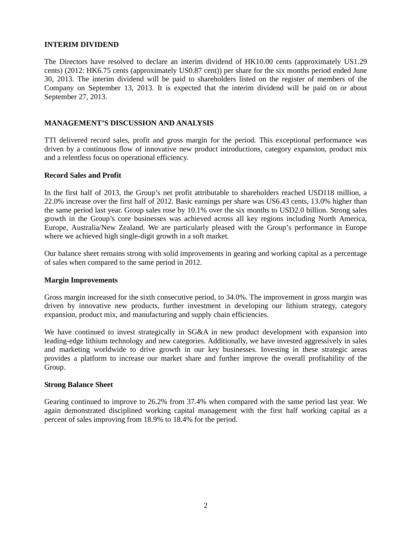## **INTERIM DIVIDEND**

The Directors have resolved to declare an interim dividend of HK10.00 cents (approximately US1.29 cents) (2012: HK6.75 cents (approximately US0.87 cent)) per share for the six months period ended June 30, 2013. The interim dividend will be paid to shareholders listed on the register of members of the Company on September 13, 2013. It is expected that the interim dividend will be paid on or about September 27, 2013.

## **MANAGEMENT'S DISCUSSION AND ANALYSIS**

TTI delivered record sales, profit and gross margin for the period. This exceptional performance was driven by a continuous flow of innovative new product introductions, category expansion, product mix and a relentless focus on operational efficiency.

## **Record Sales and Profit**

In the first half of 2013, the Group's net profit attributable to shareholders reached USD118 million, a 22.0% increase over the first half of 2012. Basic earnings per share was US6.43 cents, 13.0% higher than the same period last year. Group sales rose by 10.1% over the six months to USD2.0 billion. Strong sales growth in the Group's core businesses was achieved across all key regions including North America, Europe, Australia/New Zealand. We are particularly pleased with the Group's performance in Europe where we achieved high single-digit growth in a soft market.

Our balance sheet remains strong with solid improvements in gearing and working capital as a percentage of sales when compared to the same period in 2012.

## **Margin Improvements**

Gross margin increased for the sixth consecutive period, to 34.0%. The improvement in gross margin was driven by innovative new products, further investment in developing our lithium strategy, category expansion, product mix, and manufacturing and supply chain efficiencies.

We have continued to invest strategically in SG&A in new product development with expansion into leading-edge lithium technology and new categories. Additionally, we have invested aggressively in sales and marketing worldwide to drive growth in our key businesses. Investing in these strategic areas provides a platform to increase our market share and further improve the overall profitability of the Group.

## **Strong Balance Sheet**

Gearing continued to improve to 26.2% from 37.4% when compared with the same period last year. We again demonstrated disciplined working capital management with the first half working capital as a percent of sales improving from 18.9% to 18.4% for the period.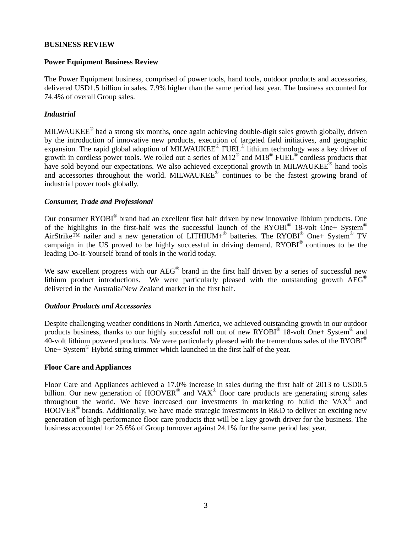## **BUSINESS REVIEW**

## **Power Equipment Business Review**

The Power Equipment business, comprised of power tools, hand tools, outdoor products and accessories, delivered USD1.5 billion in sales, 7.9% higher than the same period last year. The business accounted for 74.4% of overall Group sales.

## *Industrial*

MILWAUKEE® had a strong six months, once again achieving double-digit sales growth globally, driven by the introduction of innovative new products, execution of targeted field initiatives, and geographic expansion. The rapid global adoption of MILWAUKEE® FUEL® lithium technology was a key driver of growth in cordless power tools. We rolled out a series of M12<sup>®</sup> and M18<sup>®</sup> FUEL<sup>®</sup> cordless products that have sold beyond our expectations. We also achieved exceptional growth in MILWAUKEE® hand tools and accessories throughout the world. MILWAUKEE® continues to be the fastest growing brand of industrial power tools globally.

## *Consumer, Trade and Professional*

Our consumer RYOBI<sup>®</sup> brand had an excellent first half driven by new innovative lithium products. One of the highlights in the first-half was the successful launch of the RYOBI<sup>®</sup> 18-volt One+ System<sup>®</sup> AirStrike<sup>TM</sup> nailer and a new generation of LITHIUM+<sup>®</sup> batteries. The RYOBI<sup>®</sup> One+ System<sup>®</sup> TV campaign in the US proved to be highly successful in driving demand. RYOBI<sup>®</sup> continues to be the leading Do-It-Yourself brand of tools in the world today.

We saw excellent progress with our  $\text{AEG}^{\textcircled{e}}$  brand in the first half driven by a series of successful new lithium product introductions. We were particularly pleased with the outstanding growth  $\text{AEG}^{\circledast}$ delivered in the Australia/New Zealand market in the first half.

## *Outdoor Products and Accessories*

Despite challenging weather conditions in North America, we achieved outstanding growth in our outdoor products business, thanks to our highly successful roll out of new RYOBI® 18-volt One+ System® and  $40$ -volt lithium powered products. We were particularly pleased with the tremendous sales of the RYOBI<sup>®</sup> One+ System<sup>®</sup> Hybrid string trimmer which launched in the first half of the year.

## **Floor Care and Appliances**

Floor Care and Appliances achieved a 17.0% increase in sales during the first half of 2013 to USD0.5 billion. Our new generation of  $HOoverR^{\otimes}$  and  $VAX^{\otimes}$  floor care products are generating strong sales throughout the world. We have increased our investments in marketing to build the VA $\overline{X}^{\otimes}$  and HOOVER<sup>®</sup> brands. Additionally, we have made strategic investments in R&D to deliver an exciting new generation of high-performance floor care products that will be a key growth driver for the business. The business accounted for 25.6% of Group turnover against 24.1% for the same period last year.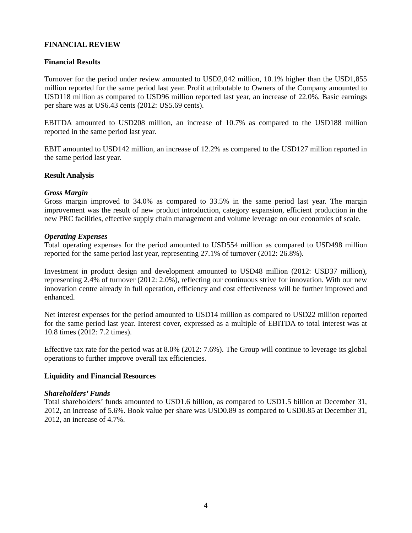## **FINANCIAL REVIEW**

## **Financial Results**

Turnover for the period under review amounted to USD2,042 million, 10.1% higher than the USD1,855 million reported for the same period last year. Profit attributable to Owners of the Company amounted to USD118 million as compared to USD96 million reported last year, an increase of 22.0%. Basic earnings per share was at US6.43 cents (2012: US5.69 cents).

EBITDA amounted to USD208 million, an increase of 10.7% as compared to the USD188 million reported in the same period last year.

EBIT amounted to USD142 million, an increase of 12.2% as compared to the USD127 million reported in the same period last year.

#### **Result Analysis**

#### *Gross Margin*

Gross margin improved to 34.0% as compared to 33.5% in the same period last year. The margin improvement was the result of new product introduction, category expansion, efficient production in the new PRC facilities, effective supply chain management and volume leverage on our economies of scale.

#### *Operating Expenses*

Total operating expenses for the period amounted to USD554 million as compared to USD498 million reported for the same period last year, representing 27.1% of turnover (2012: 26.8%).

Investment in product design and development amounted to USD48 million (2012: USD37 million), representing 2.4% of turnover (2012: 2.0%), reflecting our continuous strive for innovation. With our new innovation centre already in full operation, efficiency and cost effectiveness will be further improved and enhanced.

Net interest expenses for the period amounted to USD14 million as compared to USD22 million reported for the same period last year. Interest cover, expressed as a multiple of EBITDA to total interest was at 10.8 times (2012: 7.2 times).

Effective tax rate for the period was at 8.0% (2012: 7.6%). The Group will continue to leverage its global operations to further improve overall tax efficiencies.

## **Liquidity and Financial Resources**

#### *Shareholders' Funds*

Total shareholders' funds amounted to USD1.6 billion, as compared to USD1.5 billion at December 31, 2012, an increase of 5.6%. Book value per share was USD0.89 as compared to USD0.85 at December 31, 2012, an increase of 4.7%.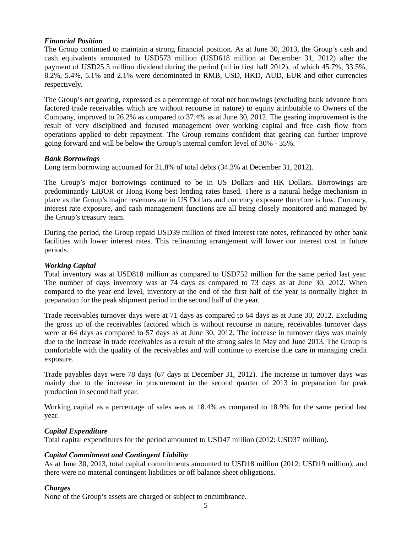## *Financial Position*

The Group continued to maintain a strong financial position. As at June 30, 2013, the Group's cash and cash equivalents amounted to USD573 million (USD618 million at December 31, 2012) after the payment of USD25.3 million dividend during the period (nil in first half 2012), of which 45.7%, 33.5%, 8.2%, 5.4%, 5.1% and 2.1% were denominated in RMB, USD, HKD, AUD, EUR and other currencies respectively.

The Group's net gearing, expressed as a percentage of total net borrowings (excluding bank advance from factored trade receivables which are without recourse in nature) to equity attributable to Owners of the Company, improved to 26.2% as compared to 37.4% as at June 30, 2012. The gearing improvement is the result of very disciplined and focused management over working capital and free cash flow from operations applied to debt repayment. The Group remains confident that gearing can further improve going forward and will be below the Group's internal comfort level of 30% - 35%.

## *Bank Borrowings*

Long term borrowing accounted for 31.8% of total debts (34.3% at December 31, 2012).

The Group's major borrowings continued to be in US Dollars and HK Dollars. Borrowings are predominantly LIBOR or Hong Kong best lending rates based. There is a natural hedge mechanism in place as the Group's major revenues are in US Dollars and currency exposure therefore is low. Currency, interest rate exposure, and cash management functions are all being closely monitored and managed by the Group's treasury team.

During the period, the Group repaid USD39 million of fixed interest rate notes, refinanced by other bank facilities with lower interest rates. This refinancing arrangement will lower our interest cost in future periods.

## *Working Capital*

Total inventory was at USD818 million as compared to USD752 million for the same period last year. The number of days inventory was at 74 days as compared to 73 days as at June 30, 2012. When compared to the year end level, inventory at the end of the first half of the year is normally higher in preparation for the peak shipment period in the second half of the year.

Trade receivables turnover days were at 71 days as compared to 64 days as at June 30, 2012. Excluding the gross up of the receivables factored which is without recourse in nature, receivables turnover days were at 64 days as compared to 57 days as at June 30, 2012. The increase in turnover days was mainly due to the increase in trade receivables as a result of the strong sales in May and June 2013. The Group is comfortable with the quality of the receivables and will continue to exercise due care in managing credit exposure.

Trade payables days were 78 days (67 days at December 31, 2012). The increase in turnover days was mainly due to the increase in procurement in the second quarter of 2013 in preparation for peak production in second half year.

Working capital as a percentage of sales was at 18.4% as compared to 18.9% for the same period last year.

## *Capital Expenditure*

Total capital expenditures for the period amounted to USD47 million (2012: USD37 million).

## *Capital Commitment and Contingent Liability*

As at June 30, 2013, total capital commitments amounted to USD18 million (2012: USD19 million), and there were no material contingent liabilities or off balance sheet obligations.

## *Charges*

None of the Group's assets are charged or subject to encumbrance.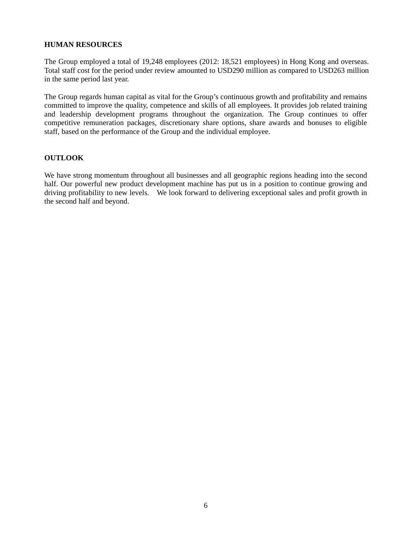## **HUMAN RESOURCES**

The Group employed a total of 19,248 employees (2012: 18,521 employees) in Hong Kong and overseas. Total staff cost for the period under review amounted to USD290 million as compared to USD263 million in the same period last year.

The Group regards human capital as vital for the Group's continuous growth and profitability and remains committed to improve the quality, competence and skills of all employees. It provides job related training and leadership development programs throughout the organization. The Group continues to offer competitive remuneration packages, discretionary share options, share awards and bonuses to eligible staff, based on the performance of the Group and the individual employee.

## **OUTLOOK**

We have strong momentum throughout all businesses and all geographic regions heading into the second half. Our powerful new product development machine has put us in a position to continue growing and driving profitability to new levels. We look forward to delivering exceptional sales and profit growth in the second half and beyond.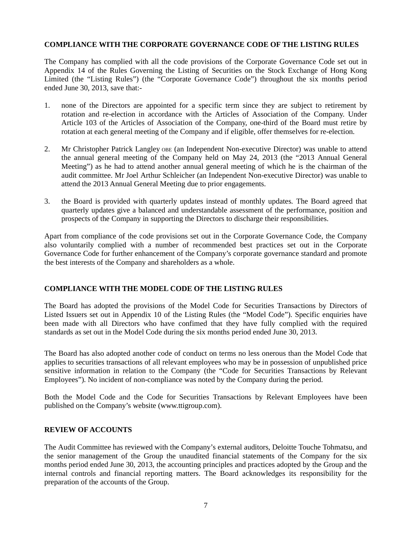## **COMPLIANCE WITH THE CORPORATE GOVERNANCE CODE OF THE LISTING RULES**

The Company has complied with all the code provisions of the Corporate Governance Code set out in Appendix 14 of the Rules Governing the Listing of Securities on the Stock Exchange of Hong Kong Limited (the "Listing Rules") (the "Corporate Governance Code") throughout the six months period ended June 30, 2013, save that:-

- 1. none of the Directors are appointed for a specific term since they are subject to retirement by rotation and re-election in accordance with the Articles of Association of the Company. Under Article 103 of the Articles of Association of the Company, one-third of the Board must retire by rotation at each general meeting of the Company and if eligible, offer themselves for re-election.
- 2. Mr Christopher Patrick Langley OBE (an Independent Non-executive Director) was unable to attend the annual general meeting of the Company held on May 24, 2013 (the "2013 Annual General Meeting") as he had to attend another annual general meeting of which he is the chairman of the audit committee. Mr Joel Arthur Schleicher (an Independent Non-executive Director) was unable to attend the 2013 Annual General Meeting due to prior engagements.
- 3. the Board is provided with quarterly updates instead of monthly updates. The Board agreed that quarterly updates give a balanced and understandable assessment of the performance, position and prospects of the Company in supporting the Directors to discharge their responsibilities.

Apart from compliance of the code provisions set out in the Corporate Governance Code, the Company also voluntarily complied with a number of recommended best practices set out in the Corporate Governance Code for further enhancement of the Company's corporate governance standard and promote the best interests of the Company and shareholders as a whole.

## **COMPLIANCE WITH THE MODEL CODE OF THE LISTING RULES**

The Board has adopted the provisions of the Model Code for Securities Transactions by Directors of Listed Issuers set out in Appendix 10 of the Listing Rules (the "Model Code"). Specific enquiries have been made with all Directors who have confimed that they have fully complied with the required standards as set out in the Model Code during the six months period ended June 30, 2013.

The Board has also adopted another code of conduct on terms no less onerous than the Model Code that applies to securities transactions of all relevant employees who may be in possession of unpublished price sensitive information in relation to the Company (the "Code for Securities Transactions by Relevant Employees"). No incident of non-compliance was noted by the Company during the period.

Both the Model Code and the Code for Securities Transactions by Relevant Employees have been published on the Company's website (www.ttigroup.com).

## **REVIEW OF ACCOUNTS**

The Audit Committee has reviewed with the Company's external auditors, Deloitte Touche Tohmatsu, and the senior management of the Group the unaudited financial statements of the Company for the six months period ended June 30, 2013, the accounting principles and practices adopted by the Group and the internal controls and financial reporting matters. The Board acknowledges its responsibility for the preparation of the accounts of the Group.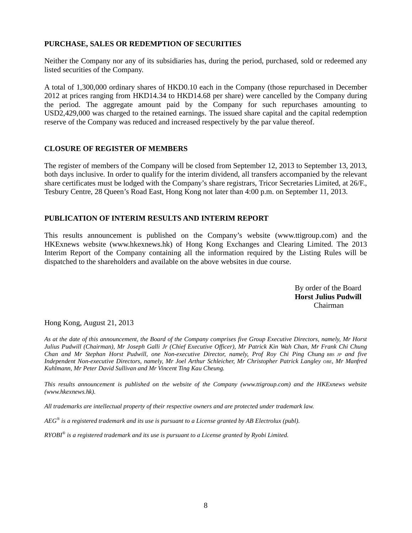## **PURCHASE, SALES OR REDEMPTION OF SECURITIES**

Neither the Company nor any of its subsidiaries has, during the period, purchased, sold or redeemed any listed securities of the Company.

A total of 1,300,000 ordinary shares of HKD0.10 each in the Company (those repurchased in December 2012 at prices ranging from HKD14.34 to HKD14.68 per share) were cancelled by the Company during the period. The aggregate amount paid by the Company for such repurchases amounting to USD2,429,000 was charged to the retained earnings. The issued share capital and the capital redemption reserve of the Company was reduced and increased respectively by the par value thereof.

## **CLOSURE OF REGISTER OF MEMBERS**

The register of members of the Company will be closed from September 12, 2013 to September 13, 2013, both days inclusive. In order to qualify for the interim dividend, all transfers accompanied by the relevant share certificates must be lodged with the Company's share registrars, Tricor Secretaries Limited, at 26/F., Tesbury Centre, 28 Queen's Road East, Hong Kong not later than 4:00 p.m. on September 11, 2013.

## **PUBLICATION OF INTERIM RESULTS AND INTERIM REPORT**

This results announcement is published on the Company's website (www.ttigroup.com) and the HKExnews website (www.hkexnews.hk) of Hong Kong Exchanges and Clearing Limited. The 2013 Interim Report of the Company containing all the information required by the Listing Rules will be dispatched to the shareholders and available on the above websites in due course.

> By order of the Board **Horst Julius Pudwill**  Chairman

Hong Kong, August 21, 2013

*As at the date of this announcement, the Board of the Company comprises five Group Executive Directors, namely, Mr Horst Julius Pudwill (Chairman), Mr Joseph Galli Jr (Chief Executive Officer), Mr Patrick Kin Wah Chan, Mr Frank Chi Chung Chan and Mr Stephan Horst Pudwill, one Non-executive Director, namely, Prof Roy Chi Ping Chung BBS JP and five Independent Non-executive Directors, namely, Mr Joel Arthur Schleicher, Mr Christopher Patrick Langley OBE, Mr Manfred Kuhlmann, Mr Peter David Sullivan and Mr Vincent Ting Kau Cheung.* 

*This results announcement is published on the website of the Company (www.ttigroup.com) and the HKExnews website (www.hkexnews.hk).* 

*All trademarks are intellectual property of their respective owners and are protected under trademark law.* 

*AEG® is a registered trademark and its use is pursuant to a License granted by AB Electrolux (publ).* 

*RYOBI® is a registered trademark and its use is pursuant to a License granted by Ryobi Limited.*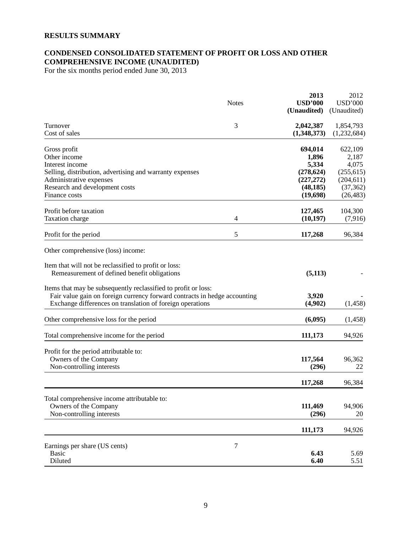## **RESULTS SUMMARY**

## **CONDENSED CONSOLIDATED STATEMENT OF PROFIT OR LOSS AND OTHER COMPREHENSIVE INCOME (UNAUDITED)**

For the six months period ended June 30, 2013

|                                                                                                                                                                                                          | <b>Notes</b> | 2013<br><b>USD'000</b>   | 2012<br><b>USD'000</b>   |
|----------------------------------------------------------------------------------------------------------------------------------------------------------------------------------------------------------|--------------|--------------------------|--------------------------|
|                                                                                                                                                                                                          |              | (Unaudited)              | (Unaudited)              |
| Turnover<br>Cost of sales                                                                                                                                                                                | 3            | 2,042,387<br>(1,348,373) | 1,854,793<br>(1,232,684) |
| Gross profit                                                                                                                                                                                             |              | 694,014                  | 622,109                  |
| Other income                                                                                                                                                                                             |              | 1,896                    | 2,187                    |
| Interest income                                                                                                                                                                                          |              | 5,334                    | 4,075                    |
| Selling, distribution, advertising and warranty expenses                                                                                                                                                 |              | (278, 624)               | (255, 615)               |
| Administrative expenses                                                                                                                                                                                  |              | (227, 272)               | (204, 611)               |
| Research and development costs                                                                                                                                                                           |              | (48, 185)                | (37, 362)                |
| Finance costs                                                                                                                                                                                            |              | (19,698)                 | (26, 483)                |
| Profit before taxation                                                                                                                                                                                   |              | 127,465                  | 104,300                  |
| Taxation charge                                                                                                                                                                                          | 4            | (10, 197)                | (7,916)                  |
| Profit for the period                                                                                                                                                                                    | 5            | 117,268                  | 96,384                   |
| Other comprehensive (loss) income:                                                                                                                                                                       |              |                          |                          |
| Item that will not be reclassified to profit or loss:<br>Remeasurement of defined benefit obligations                                                                                                    |              | (5,113)                  |                          |
| Items that may be subsequently reclassified to profit or loss:<br>Fair value gain on foreign currency forward contracts in hedge accounting<br>Exchange differences on translation of foreign operations |              | 3,920<br>(4,902)         | (1, 458)                 |
| Other comprehensive loss for the period                                                                                                                                                                  |              | (6,095)                  | (1, 458)                 |
| Total comprehensive income for the period                                                                                                                                                                |              | 111,173                  | 94,926                   |
| Profit for the period attributable to:                                                                                                                                                                   |              |                          |                          |
| Owners of the Company                                                                                                                                                                                    |              | 117,564                  | 96,362                   |
| Non-controlling interests                                                                                                                                                                                |              | (296)                    | 22                       |
|                                                                                                                                                                                                          |              | 117,268                  | 96,384                   |
| Total comprehensive income attributable to:                                                                                                                                                              |              |                          |                          |
| Owners of the Company                                                                                                                                                                                    |              | 111,469                  | 94,906                   |
| Non-controlling interests                                                                                                                                                                                |              | (296)                    | 20                       |
|                                                                                                                                                                                                          |              | 111,173                  | 94,926                   |
| Earnings per share (US cents)                                                                                                                                                                            | $\tau$       |                          |                          |
| <b>Basic</b>                                                                                                                                                                                             |              | 6.43                     | 5.69                     |
| Diluted                                                                                                                                                                                                  |              | 6.40                     | 5.51                     |
|                                                                                                                                                                                                          |              |                          |                          |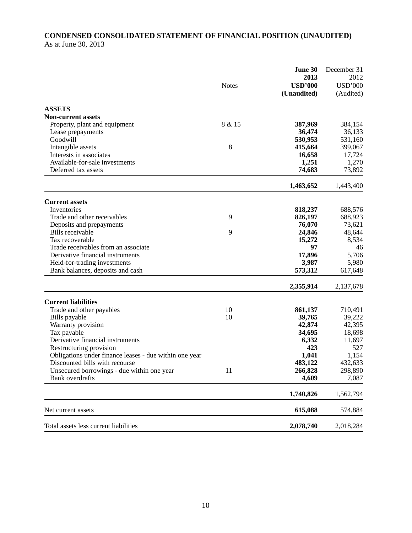## **CONDENSED CONSOLIDATED STATEMENT OF FINANCIAL POSITION (UNAUDITED)**  As at June 30, 2013

|                                                        |              | June 30<br>2013               | December 31<br>2012         |
|--------------------------------------------------------|--------------|-------------------------------|-----------------------------|
|                                                        | <b>Notes</b> | <b>USD'000</b><br>(Unaudited) | <b>USD'000</b><br>(Audited) |
| <b>ASSETS</b>                                          |              |                               |                             |
| <b>Non-current assets</b>                              |              |                               |                             |
| Property, plant and equipment                          | 8 & 15       | 387,969                       | 384,154                     |
| Lease prepayments                                      |              | 36,474                        | 36,133                      |
| Goodwill                                               |              | 530,953                       | 531,160                     |
| Intangible assets                                      | 8            | 415,664                       | 399,067                     |
| Interests in associates                                |              | 16,658                        | 17,724                      |
| Available-for-sale investments                         |              | 1,251                         | 1,270                       |
| Deferred tax assets                                    |              | 74,683                        | 73,892                      |
|                                                        |              | 1,463,652                     | 1,443,400                   |
| <b>Current assets</b>                                  |              |                               |                             |
| Inventories                                            |              | 818,237                       | 688,576                     |
| Trade and other receivables                            | 9            | 826,197                       | 688,923                     |
| Deposits and prepayments                               |              | 76,070                        | 73,621                      |
| <b>Bills</b> receivable                                | 9            | 24,846                        | 48,644                      |
| Tax recoverable                                        |              | 15,272                        | 8,534                       |
| Trade receivables from an associate                    |              | 97                            | 46                          |
| Derivative financial instruments                       |              | 17,896                        | 5,706                       |
| Held-for-trading investments                           |              | 3,987                         | 5,980                       |
| Bank balances, deposits and cash                       |              | 573,312                       | 617,648                     |
|                                                        |              | 2,355,914                     | 2,137,678                   |
| <b>Current liabilities</b>                             |              |                               |                             |
| Trade and other payables                               | 10           | 861,137                       | 710,491                     |
| Bills payable                                          | 10           | 39,765                        | 39,222                      |
| Warranty provision                                     |              | 42,874                        | 42,395                      |
| Tax payable                                            |              | 34,695                        | 18,698                      |
| Derivative financial instruments                       |              | 6,332                         | 11,697                      |
| Restructuring provision                                |              | 423                           | 527                         |
| Obligations under finance leases - due within one year |              | 1,041                         | 1,154                       |
| Discounted bills with recourse                         |              | 483,122                       | 432,633                     |
| Unsecured borrowings - due within one year             | 11           | 266,828                       | 298,890                     |
| <b>Bank</b> overdrafts                                 |              | 4,609                         | 7,087                       |
|                                                        |              | 1,740,826                     | 1,562,794                   |
| Net current assets                                     |              | 615,088                       | 574,884                     |
| Total assets less current liabilities                  |              | 2,078,740                     | 2,018,284                   |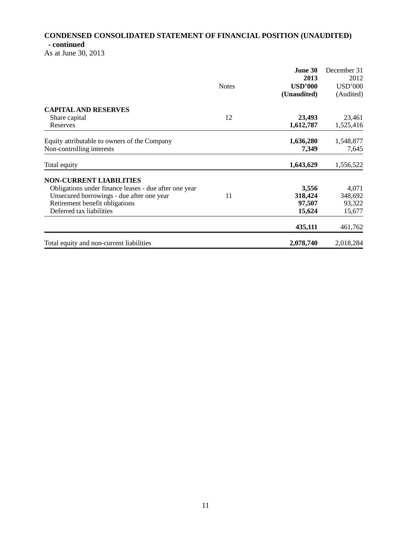# **CONDENSED CONSOLIDATED STATEMENT OF FINANCIAL POSITION (UNAUDITED) - continued**

As at June 30, 2013

|                                                       |              | June 30        | December 31    |
|-------------------------------------------------------|--------------|----------------|----------------|
|                                                       |              | 2013           | 2012           |
|                                                       | <b>Notes</b> | <b>USD'000</b> | <b>USD'000</b> |
|                                                       |              | (Unaudited)    | (Audited)      |
| <b>CAPITAL AND RESERVES</b>                           |              |                |                |
| Share capital                                         | 12           | 23,493         | 23,461         |
| Reserves                                              |              | 1,612,787      | 1,525,416      |
| Equity attributable to owners of the Company          |              | 1,636,280      | 1,548,877      |
| Non-controlling interests                             |              | 7,349          | 7,645          |
| Total equity                                          |              | 1,643,629      | 1,556,522      |
| <b>NON-CURRENT LIABILITIES</b>                        |              |                |                |
| Obligations under finance leases - due after one year |              | 3,556          | 4,071          |
| Unsecured borrowings - due after one year             | 11           | 318,424        | 348,692        |
| Retirement benefit obligations                        |              | 97,507         | 93,322         |
| Deferred tax liabilities                              |              | 15,624         | 15,677         |
|                                                       |              | 435,111        | 461,762        |
| Total equity and non-current liabilities              |              | 2,078,740      | 2,018,284      |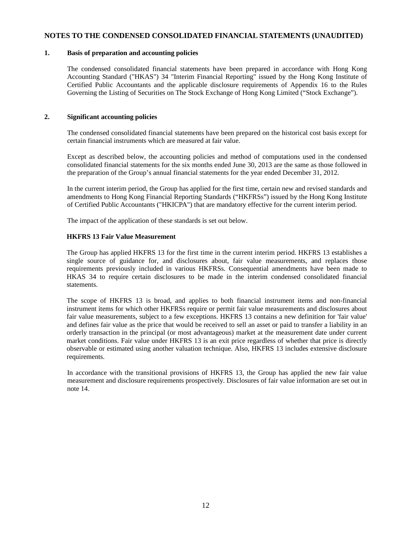#### **NOTES TO THE CONDENSED CONSOLIDATED FINANCIAL STATEMENTS (UNAUDITED)**

#### **1. Basis of preparation and accounting policies**

The condensed consolidated financial statements have been prepared in accordance with Hong Kong Accounting Standard ("HKAS") 34 "Interim Financial Reporting" issued by the Hong Kong Institute of Certified Public Accountants and the applicable disclosure requirements of Appendix 16 to the Rules Governing the Listing of Securities on The Stock Exchange of Hong Kong Limited ("Stock Exchange").

#### **2. Significant accounting policies**

The condensed consolidated financial statements have been prepared on the historical cost basis except for certain financial instruments which are measured at fair value.

Except as described below, the accounting policies and method of computations used in the condensed consolidated financial statements for the six months ended June 30, 2013 are the same as those followed in the preparation of the Group's annual financial statements for the year ended December 31, 2012.

In the current interim period, the Group has applied for the first time, certain new and revised standards and amendments to Hong Kong Financial Reporting Standards ("HKFRSs") issued by the Hong Kong Institute of Certified Public Accountants ("HKICPA") that are mandatory effective for the current interim period.

The impact of the application of these standards is set out below.

#### **HKFRS 13 Fair Value Measurement**

The Group has applied HKFRS 13 for the first time in the current interim period. HKFRS 13 establishes a single source of guidance for, and disclosures about, fair value measurements, and replaces those requirements previously included in various HKFRSs. Consequential amendments have been made to HKAS 34 to require certain disclosures to be made in the interim condensed consolidated financial statements.

The scope of HKFRS 13 is broad, and applies to both financial instrument items and non-financial instrument items for which other HKFRSs require or permit fair value measurements and disclosures about fair value measurements, subject to a few exceptions. HKFRS 13 contains a new definition for 'fair value' and defines fair value as the price that would be received to sell an asset or paid to transfer a liability in an orderly transaction in the principal (or most advantageous) market at the measurement date under current market conditions. Fair value under HKFRS 13 is an exit price regardless of whether that price is directly observable or estimated using another valuation technique. Also, HKFRS 13 includes extensive disclosure requirements.

In accordance with the transitional provisions of HKFRS 13, the Group has applied the new fair value measurement and disclosure requirements prospectively. Disclosures of fair value information are set out in note 14.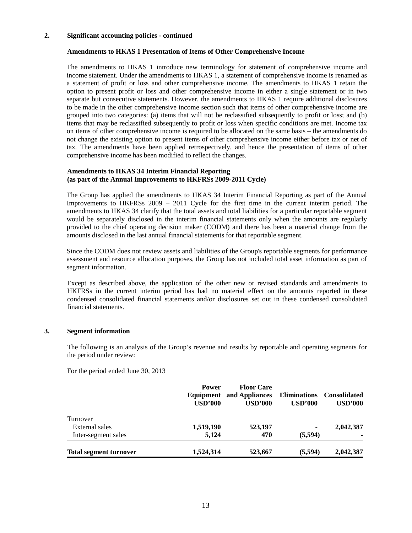#### **2. Significant accounting policies - continued**

#### **Amendments to HKAS 1 Presentation of Items of Other Comprehensive Income**

The amendments to HKAS 1 introduce new terminology for statement of comprehensive income and income statement. Under the amendments to HKAS 1, a statement of comprehensive income is renamed as a statement of profit or loss and other comprehensive income. The amendments to HKAS 1 retain the option to present profit or loss and other comprehensive income in either a single statement or in two separate but consecutive statements. However, the amendments to HKAS 1 require additional disclosures to be made in the other comprehensive income section such that items of other comprehensive income are grouped into two categories: (a) items that will not be reclassified subsequently to profit or loss; and (b) items that may be reclassified subsequently to profit or loss when specific conditions are met. Income tax on items of other comprehensive income is required to be allocated on the same basis – the amendments do not change the existing option to present items of other comprehensive income either before tax or net of tax. The amendments have been applied retrospectively, and hence the presentation of items of other comprehensive income has been modified to reflect the changes.

#### **Amendments to HKAS 34 Interim Financial Reporting (as part of the Annual Improvements to HKFRSs 2009-2011 Cycle)**

The Group has applied the amendments to HKAS 34 Interim Financial Reporting as part of the Annual Improvements to HKFRSs 2009 – 2011 Cycle for the first time in the current interim period. The amendments to HKAS 34 clarify that the total assets and total liabilities for a particular reportable segment would be separately disclosed in the interim financial statements only when the amounts are regularly provided to the chief operating decision maker (CODM) and there has been a material change from the amounts disclosed in the last annual financial statements for that reportable segment.

Since the CODM does not review assets and liabilities of the Group's reportable segments for performance assessment and resource allocation purposes, the Group has not included total asset information as part of segment information.

Except as described above, the application of the other new or revised standards and amendments to HKFRSs in the current interim period has had no material effect on the amounts reported in these condensed consolidated financial statements and/or disclosures set out in these condensed consolidated financial statements.

## **3. Segment information**

The following is an analysis of the Group's revenue and results by reportable and operating segments for the period under review:

For the period ended June 30, 2013

|                               | <b>Power</b><br><b>USD'000</b> | <b>Floor Care</b><br><b>Equipment</b> and Appliances<br>USD'000 | <b>Eliminations</b><br>USD'000 | <b>Consolidated</b><br><b>USD'000</b> |
|-------------------------------|--------------------------------|-----------------------------------------------------------------|--------------------------------|---------------------------------------|
| Turnover                      |                                |                                                                 |                                |                                       |
| External sales                | 1,519,190                      | 523,197                                                         |                                | 2,042,387                             |
| Inter-segment sales           | 5,124                          | 470                                                             | (5,594)                        |                                       |
| <b>Total segment turnover</b> | 1,524,314                      | 523,667                                                         | (5,594)                        | 2,042,387                             |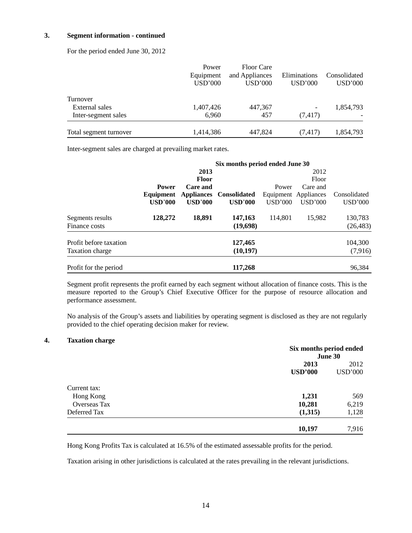#### **3. Segment information - continued**

For the period ended June 30, 2012

|                        | Power     | <b>Floor Care</b> |                 |              |
|------------------------|-----------|-------------------|-----------------|--------------|
|                        | Equipment | and Appliances    | Eliminations    | Consolidated |
|                        | USD'000   | USD'000           | USD'000         | USD'000      |
| Turnover               |           |                   |                 |              |
| External sales         | 1,407,426 | 447,367           | $\qquad \qquad$ | 1,854,793    |
| Inter-segment sales    | 6.960     | 457               | (7, 417)        |              |
| Total segment turnover | 1,414,386 | 447,824           | (7, 417)        | 1,854,793    |

Inter-segment sales are charged at prevailing market rates.

|                        | Six months period ended June 30 |                   |                     |         |                      |                |
|------------------------|---------------------------------|-------------------|---------------------|---------|----------------------|----------------|
|                        |                                 | 2013              |                     |         | 2012                 |                |
|                        |                                 | <b>Floor</b>      |                     |         | Floor                |                |
|                        | <b>Power</b>                    | Care and          |                     | Power   | Care and             |                |
|                        | Equipment                       | <b>Appliances</b> | <b>Consolidated</b> |         | Equipment Appliances | Consolidated   |
|                        | <b>USD'000</b>                  | <b>USD'000</b>    | <b>USD'000</b>      | USD'000 | USD'000              | <b>USD'000</b> |
| Segments results       | 128,272                         | 18,891            | 147,163             | 114.801 | 15.982               | 130,783        |
| Finance costs          |                                 |                   | (19,698)            |         |                      | (26, 483)      |
| Profit before taxation |                                 |                   | 127,465             |         |                      | 104,300        |
| <b>Taxation charge</b> |                                 |                   | (10, 197)           |         |                      | (7,916)        |
| Profit for the period  |                                 |                   | 117,268             |         |                      | 96,384         |

Segment profit represents the profit earned by each segment without allocation of finance costs. This is the measure reported to the Group's Chief Executive Officer for the purpose of resource allocation and performance assessment.

 No analysis of the Group's assets and liabilities by operating segment is disclosed as they are not regularly provided to the chief operating decision maker for review.

#### **4. Taxation charge**

|                     |                | Six months period ended<br>June 30 |  |
|---------------------|----------------|------------------------------------|--|
|                     | 2013           | 2012                               |  |
|                     | <b>USD'000</b> | <b>USD'000</b>                     |  |
| Current tax:        |                |                                    |  |
| Hong Kong           | 1,231          | 569                                |  |
| <b>Overseas Tax</b> | 10,281         | 6,219                              |  |
| Deferred Tax        | (1,315)        | 1,128                              |  |
|                     | 10,197         | 7,916                              |  |

Hong Kong Profits Tax is calculated at 16.5% of the estimated assessable profits for the period.

Taxation arising in other jurisdictions is calculated at the rates prevailing in the relevant jurisdictions.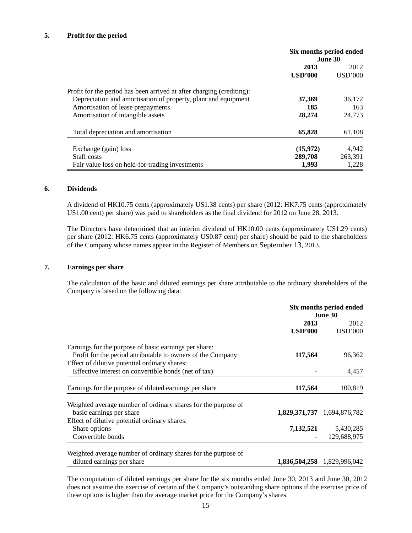#### **5. Profit for the period**

|                                                                       | Six months period ended<br>June 30 |         |
|-----------------------------------------------------------------------|------------------------------------|---------|
|                                                                       | 2013                               | 2012    |
|                                                                       | USD'000                            | USD'000 |
| Profit for the period has been arrived at after charging (crediting): |                                    |         |
| Depreciation and amortisation of property, plant and equipment        | 37,369                             | 36,172  |
| Amortisation of lease prepayments                                     | 185                                | 163     |
| Amortisation of intangible assets                                     | 28,274                             | 24,773  |
| Total depreciation and amortisation                                   | 65,828                             | 61,108  |
| Exchange (gain) loss                                                  | (15,972)                           | 4,942   |
| Staff costs                                                           | 289,708                            | 263.391 |
| Fair value loss on held-for-trading investments                       | 1,993                              | 1,228   |

#### **6. Dividends**

A dividend of HK10.75 cents (approximately US1.38 cents) per share (2012: HK7.75 cents (approximately US1.00 cent) per share) was paid to shareholders as the final dividend for 2012 on June 28, 2013.

The Directors have determined that an interim dividend of HK10.00 cents (approximately US1.29 cents) per share (2012: HK6.75 cents (approximately US0.87 cent) per share) should be paid to the shareholders of the Company whose names appear in the Register of Members on September 13, 2013.

#### **7. Earnings per share**

The calculation of the basic and diluted earnings per share attributable to the ordinary shareholders of the Company is based on the following data:

|                                                                                                                      | Six months period ended<br>June 30 |                             |
|----------------------------------------------------------------------------------------------------------------------|------------------------------------|-----------------------------|
|                                                                                                                      | 2013<br><b>USD'000</b>             | 2012<br><b>USD'000</b>      |
| Earnings for the purpose of basic earnings per share:<br>Profit for the period attributable to owners of the Company | 117,564                            | 96,362                      |
| Effect of dilutive potential ordinary shares:<br>Effective interest on convertible bonds (net of tax)                |                                    | 4,457                       |
| Earnings for the purpose of diluted earnings per share                                                               | 117,564                            | 100,819                     |
| Weighted average number of ordinary shares for the purpose of                                                        |                                    |                             |
| basic earnings per share                                                                                             |                                    | 1,829,371,737 1,694,876,782 |
| Effect of dilutive potential ordinary shares:                                                                        |                                    |                             |
| Share options                                                                                                        |                                    | 7,132,521 5,430,285         |
| Convertible bonds                                                                                                    |                                    | 129,688,975                 |
| Weighted average number of ordinary shares for the purpose of                                                        |                                    |                             |
| diluted earnings per share                                                                                           |                                    | 1,836,504,258 1,829,996,042 |

The computation of diluted earnings per share for the six months ended June 30, 2013 and June 30, 2012 does not assume the exercise of certain of the Company's outstanding share options if the exercise price of these options is higher than the average market price for the Company's shares.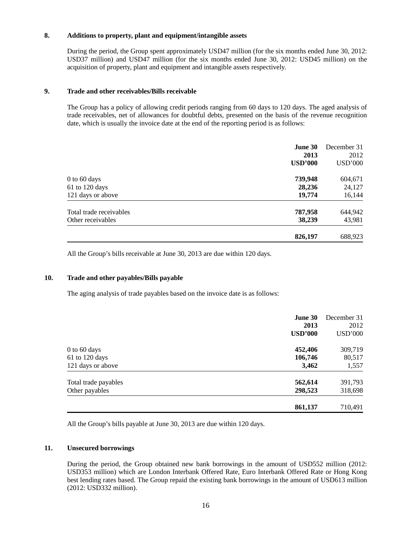#### **8. Additions to property, plant and equipment/intangible assets**

During the period, the Group spent approximately USD47 million (for the six months ended June 30, 2012: USD37 million) and USD47 million (for the six months ended June 30, 2012: USD45 million) on the acquisition of property, plant and equipment and intangible assets respectively.

#### **9. Trade and other receivables/Bills receivable**

The Group has a policy of allowing credit periods ranging from 60 days to 120 days. The aged analysis of trade receivables, net of allowances for doubtful debts, presented on the basis of the revenue recognition date, which is usually the invoice date at the end of the reporting period is as follows:

|                                              | <b>June 30</b><br>2013<br><b>USD'000</b> | December 31<br>2012<br><b>USD'000</b> |
|----------------------------------------------|------------------------------------------|---------------------------------------|
| $0$ to 60 days<br>$61$ to 120 days           | 739,948<br>28,236                        | 604,671<br>24,127                     |
| 121 days or above                            | 19,774                                   | 16,144                                |
| Total trade receivables<br>Other receivables | 787,958<br>38,239                        | 644,942<br>43,981                     |
|                                              | 826,197                                  | 688,923                               |

All the Group's bills receivable at June 30, 2013 are due within 120 days.

#### **10. Trade and other payables/Bills payable**

The aging analysis of trade payables based on the invoice date is as follows:

| June 30              |                | December 31    |
|----------------------|----------------|----------------|
|                      | 2013           | 2012           |
|                      | <b>USD'000</b> | <b>USD'000</b> |
| $0$ to $60$ days     | 452,406        | 309,719        |
| $61$ to $120$ days   | 106,746        | 80,517         |
| 121 days or above    | 3,462          | 1,557          |
| Total trade payables | 562,614        | 391,793        |
| Other payables       | 298,523        | 318,698        |
|                      | 861,137        | 710,491        |

All the Group's bills payable at June 30, 2013 are due within 120 days.

#### **11. Unsecured borrowings**

During the period, the Group obtained new bank borrowings in the amount of USD552 million (2012: USD353 million) which are London Interbank Offered Rate, Euro Interbank Offered Rate or Hong Kong best lending rates based. The Group repaid the existing bank borrowings in the amount of USD613 million (2012: USD332 million).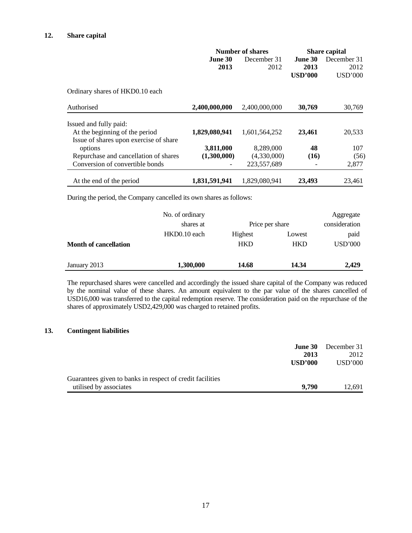|                                        | Number of shares |               | <b>Share capital</b> |                |
|----------------------------------------|------------------|---------------|----------------------|----------------|
|                                        | <b>June 30</b>   | December 31   | June 30              | December 31    |
|                                        | 2013             | 2012          | 2013                 | 2012           |
|                                        |                  |               | <b>USD'000</b>       | <b>USD'000</b> |
| Ordinary shares of HKD0.10 each        |                  |               |                      |                |
| Authorised                             | 2,400,000,000    | 2,400,000,000 | 30,769               | 30,769         |
| Issued and fully paid:                 |                  |               |                      |                |
| At the beginning of the period         | 1,829,080,941    | 1,601,564,252 | 23,461               | 20,533         |
| Issue of shares upon exercise of share |                  |               |                      |                |
| options                                | 3,811,000        | 8,289,000     | 48                   | 107            |
| Repurchase and cancellation of shares  | (1,300,000)      | (4,330,000)   | (16)                 | (56)           |
| Conversion of convertible bonds        |                  | 223,557,689   |                      | 2,877          |
| At the end of the period               | 1,831,591,941    | 1,829,080,941 | 23,493               | 23,461         |

During the period, the Company cancelled its own shares as follows:

|                              | No. of ordinary |                 |            | Aggregate      |
|------------------------------|-----------------|-----------------|------------|----------------|
|                              | shares at       | Price per share |            | consideration  |
|                              | HKD0.10 each    | Highest         | Lowest     | paid           |
| <b>Month of cancellation</b> |                 | <b>HKD</b>      | <b>HKD</b> | <b>USD'000</b> |
| January 2013                 | 1,300,000       | 14.68           | 14.34      | 2,429          |

The repurchased shares were cancelled and accordingly the issued share capital of the Company was reduced by the nominal value of these shares. An amount equivalent to the par value of the shares cancelled of USD16,000 was transferred to the capital redemption reserve. The consideration paid on the repurchase of the shares of approximately USD2,429,000 was charged to retained profits.

#### **13. Contingent liabilities**

|                                                           | <b>June 30</b><br>2013 | December 31<br>2012 |
|-----------------------------------------------------------|------------------------|---------------------|
|                                                           | <b>USD'000</b>         | USD'000             |
| Guarantees given to banks in respect of credit facilities |                        |                     |
| utilised by associates                                    | 9.790                  | 12.691              |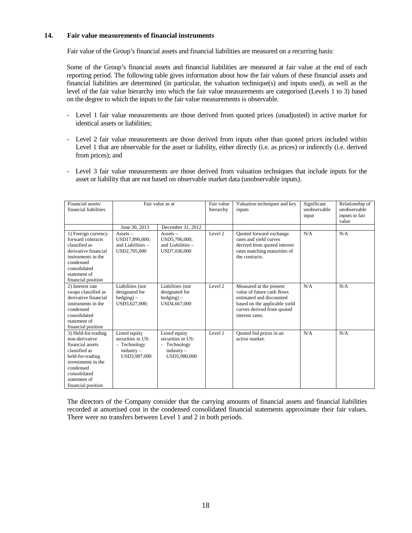#### **14. Fair value measurements of financial instruments**

Fair value of the Group's financial assets and financial liabilities are measured on a recurring basis:

Some of the Group's financial assets and financial liabilities are measured at fair value at the end of each reporting period. The following table gives information about how the fair values of these financial assets and financial liabilities are determined (in particular, the valuation technique(s) and inputs used), as well as the level of the fair value hierarchy into which the fair value measurements are categorised (Levels 1 to 3) based on the degree to which the inputs to the fair value measurements is observable.

- Level 1 fair value measurements are those derived from quoted prices (unadjusted) in active market for identical assets or liabilities;
- Level 2 fair value measurements are those derived from inputs other than quoted prices included within Level 1 that are observable for the asset or liability, either directly (i.e. as prices) or indirectly (i.e. derived from prices); and
- Level 3 fair value measurements are those derived from valuation techniques that include inputs for the asset or liability that are not based on observable market data (unobservable inputs).

| Financial assets/<br>financial liabilities                                                                                                                                              |                                                                                    | Fair value as at                                                                 | Fair value<br>hierarchy | Valuation techniques and key<br>inputs                                                                                                                              | Significant<br>unobservable<br>input | Relationship of<br>unobservable<br>inputs to fair<br>value |
|-----------------------------------------------------------------------------------------------------------------------------------------------------------------------------------------|------------------------------------------------------------------------------------|----------------------------------------------------------------------------------|-------------------------|---------------------------------------------------------------------------------------------------------------------------------------------------------------------|--------------------------------------|------------------------------------------------------------|
|                                                                                                                                                                                         | June 30, 2013                                                                      | December 31, 2012                                                                |                         |                                                                                                                                                                     |                                      |                                                            |
| 1) Foreign currency<br>forward contracts<br>classified as<br>derivative financial<br>instruments in the<br>condensed<br>consolidated<br>statement of<br>financial position              | $Assets -$<br>USD17,896,000;<br>and Liabilities $-$<br>USD2,705,000                | $Assets -$<br>USD5,706,000;<br>and Liabilities $-$<br>USD7,030,000               | Level 2                 | Quoted forward exchange<br>rates and yield curves<br>derived from quoted interest<br>rates matching maturities of<br>the contracts.                                 | N/A                                  | N/A                                                        |
| 2) Interest rate<br>swaps classified as<br>derivative financial<br>instruments in the<br>condensed<br>consolidated<br>statement of<br>financial position                                | Liabilities (not<br>designated for<br>$hedging$ –<br>USD3,627,000;                 | Liabilities (not<br>designated for<br>$hedging$ ) –<br>USD4,667,000              | Level 2                 | Measured at the present<br>value of future cash flows<br>estimated and discounted<br>based on the applicable yield<br>curves derived from quoted<br>interest rates. | N/A                                  | N/A                                                        |
| 3) Held-for-trading<br>non-derivative<br>financial assets<br>classified as<br>held-for-trading<br>investments in the<br>condensed<br>consolidated<br>statement of<br>financial position | Listed equity<br>securities in US:<br>- Technology<br>$industry -$<br>USD3,987,000 | Listed equity<br>securities in US:<br>Technology<br>$industry -$<br>USD5,980,000 | Level 1                 | Quoted bid prices in an<br>active market.                                                                                                                           | N/A                                  | N/A                                                        |

The directors of the Company consider that the carrying amounts of financial assets and financial liabilities recorded at amortised cost in the condensed consolidated financial statements approximate their fair values. There were no transfers between Level 1 and 2 in both periods.